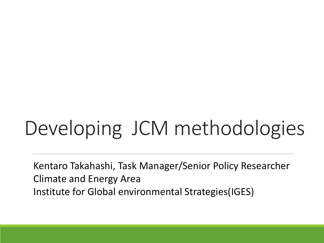# Developing JCM methodologies

Kentaro Takahashi, Task Manager/Senior Policy Researcher Climate and Energy Area Institute for Global environmental Strategies(IGES)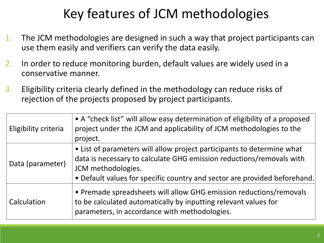## Key features of JCM methodologies

- 1. The JCM methodologies are designed in such a way that project participants can use them easily and verifiers can verify the data easily.
- 2. In order to reduce monitoring burden, default values are widely used in a conservative manner.
- 3. Eligibility criteria clearly defined in the methodology can reduce risks of rejection of the projects proposed by project participants.

| Eligibility criteria | • A "check list" will allow easy determination of eligibility of a proposed<br>project under the JCM and applicability of JCM methodologies to the<br>project.                                                                                    |
|----------------------|---------------------------------------------------------------------------------------------------------------------------------------------------------------------------------------------------------------------------------------------------|
| Data (parameter)     | • List of parameters will allow project participants to determine what<br>data is necessary to calculate GHG emission reductions/removals with<br>JCM methodologies.<br>• Default values for specific country and sector are provided beforehand. |
| Calculation          | • Premade spreadsheets will allow GHG emission reductions/removals<br>to be calculated automatically by inputting relevant values for<br>parameters, in accordance with methodologies.                                                            |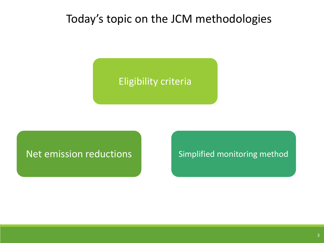### Today's topic on the JCM methodologies

### Eligibility criteria

Net emission reductions Simplified monitoring method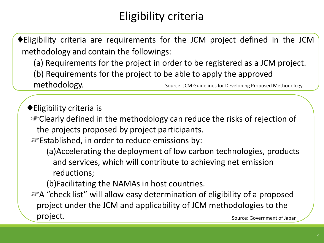### Eligibility criteria

♦Eligibility criteria are requirements for the JCM project defined in the JCM methodology and contain the followings:

(a) Requirements for the project in order to be registered as a JCM project. (b) Requirements for the project to be able to apply the approved methodology. Source: JCM Guidelines for Developing Proposed Methodology

♦Eligibility criteria is ☞Clearly defined in the methodology can reduce the risks of rejection of the projects proposed by project participants. ☞Established, in order to reduce emissions by: (a)Accelerating the deployment of low carbon technologies, products and services, which will contribute to achieving net emission reductions; (b)Facilitating the NAMAs in host countries.

☞A "check list" will allow easy determination of eligibility of a proposed project under the JCM and applicability of JCM methodologies to the project. Source: Government of Japan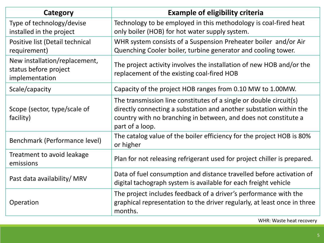| Category                                                                 | <b>Example of eligibility criteria</b>                                                                                                                                                                                         |
|--------------------------------------------------------------------------|--------------------------------------------------------------------------------------------------------------------------------------------------------------------------------------------------------------------------------|
| Type of technology/devise<br>installed in the project                    | Technology to be employed in this methodology is coal-fired heat<br>only boiler (HOB) for hot water supply system.                                                                                                             |
| Positive list (Detail technical<br>requirement)                          | WHR system consists of a Suspension Preheater boiler and/or Air<br>Quenching Cooler boiler, turbine generator and cooling tower.                                                                                               |
| New installation/replacement,<br>status before project<br>implementation | The project activity involves the installation of new HOB and/or the<br>replacement of the existing coal-fired HOB                                                                                                             |
| Scale/capacity                                                           | Capacity of the project HOB ranges from 0.10 MW to 1.00MW.                                                                                                                                                                     |
| Scope (sector, type/scale of<br>facility)                                | The transmission line constitutes of a single or double circuit(s)<br>directly connecting a substation and another substation within the<br>country with no branching in between, and does not constitute a<br>part of a loop. |
| Benchmark (Performance level)                                            | The catalog value of the boiler efficiency for the project HOB is 80%<br>or higher                                                                                                                                             |
| Treatment to avoid leakage<br>emissions                                  | Plan for not releasing refrigerant used for project chiller is prepared.                                                                                                                                                       |
| Past data availability/ MRV                                              | Data of fuel consumption and distance travelled before activation of<br>digital tachograph system is available for each freight vehicle                                                                                        |
| Operation                                                                | The project includes feedback of a driver's performance with the<br>graphical representation to the driver regularly, at least once in three<br>months.                                                                        |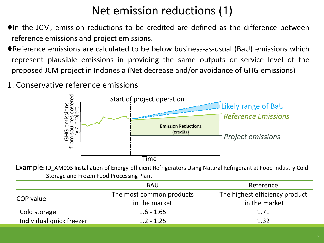### Net emission reductions (1)

- ♦In the JCM, emission reductions to be credited are defined as the difference between reference emissions and project emissions.
- ♦Reference emissions are calculated to be below business-as-usual (BaU) emissions which represent plausible emissions in providing the same outputs or service level of the proposed JCM project in Indonesia (Net decrease and/or avoidance of GHG emissions)
- 1. Conservative reference emissions



Example: ID AM003 Installation of Energy-efficient Refrigerators Using Natural Refrigerant at Food Industry Cold Storage and Frozen Food Processing Plant

|                          | <b>BAU</b>               | Reference                      |
|--------------------------|--------------------------|--------------------------------|
|                          | The most common products | The highest efficiency product |
| COP value                | in the market            | in the market                  |
| Cold storage             | $1.6 - 1.65$             | 1.71                           |
| Individual quick freezer | $1.2 - 1.25$             | 1.32                           |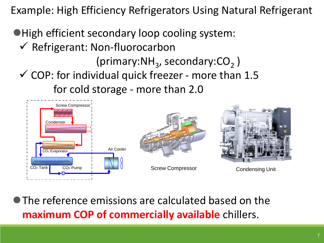Example: High Efficiency Refrigerators Using Natural Refrigerant

High efficient secondary loop cooling system:

- $\checkmark$  Refrigerant: Non-fluorocarbon
- (primary: $NH<sub>3</sub>$ , secondary: $CO<sub>2</sub>$ )  $\checkmark$  COP: for individual quick freezer - more than 1.5 for cold storage - more than 2.0



The reference emissions are calculated based on the **maximum COP of commercially available** chillers.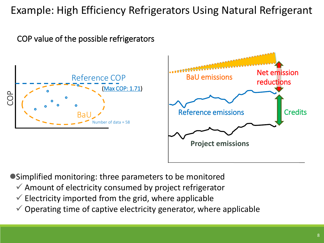### Example: High Efficiency Refrigerators Using Natural Refrigerant

COP value of the possible refrigerators





Simplified monitoring: three parameters to be monitored

- $\checkmark$  Amount of electricity consumed by project refrigerator
- $\checkmark$  Electricity imported from the grid, where applicable
- $\checkmark$  Operating time of captive electricity generator, where applicable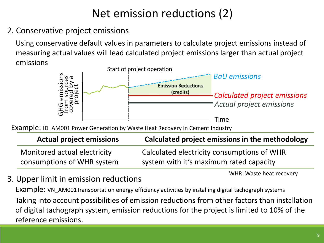### Net emission reductions (2)

2. Conservative project emissions

Using conservative default values in parameters to calculate project emissions instead of measuring actual values will lead calculated project emissions larger than actual project emissions



Example: ID\_AM001 Power Generation by Waste Heat Recovery in Cement Industry

| <b>Actual project emissions</b> | Calculated project emissions in the methodology |
|---------------------------------|-------------------------------------------------|
| Monitored actual electricity    | Calculated electricity consumptions of WHR      |
| consumptions of WHR system      | system with it's maximum rated capacity         |

WHR: Waste heat recovery

3. Upper limit in emission reductions

Example: VN\_AM001Transportation energy efficiency activities by installing digital tachograph systems Taking into account possibilities of emission reductions from other factors than installation of digital tachograph system, emission reductions for the project is limited to 10% of the reference emissions.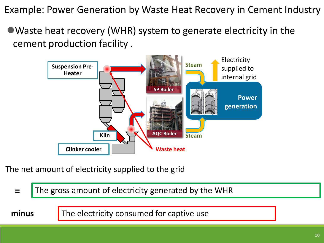Example: Power Generation by Waste Heat Recovery in Cement Industry

Waste heat recovery (WHR) system to generate electricity in the cement production facility .



The net amount of electricity supplied to the grid

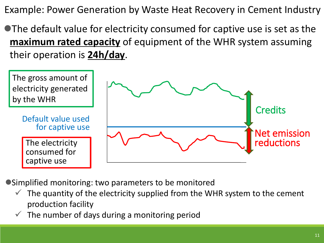Example: Power Generation by Waste Heat Recovery in Cement Industry

The default value for electricity consumed for captive use is set as the **maximum rated capacity** of equipment of the WHR system assuming their operation is **24h/day**.



- Simplified monitoring: two parameters to be monitored
	- The quantity of the electricity supplied from the WHR system to the cement production facility
	- $\checkmark$  The number of days during a monitoring period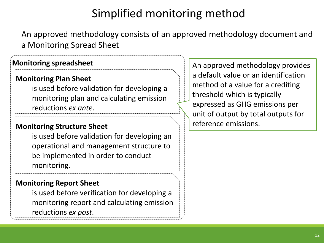### Simplified monitoring method

An approved methodology consists of an approved methodology document and a Monitoring Spread Sheet

#### **Monitoring spreadsheet**

#### **Monitoring Plan Sheet**

is used before validation for developing a monitoring plan and calculating emission reductions *ex ante*.

#### **Monitoring Structure Sheet**

is used before validation for developing an operational and management structure to be implemented in order to conduct monitoring.

#### **Monitoring Report Sheet**

is used before verification for developing a monitoring report and calculating emission reductions *ex post*.

An approved methodology provides a default value or an identification method of a value for a crediting threshold which is typically expressed as GHG emissions per unit of output by total outputs for reference emissions.